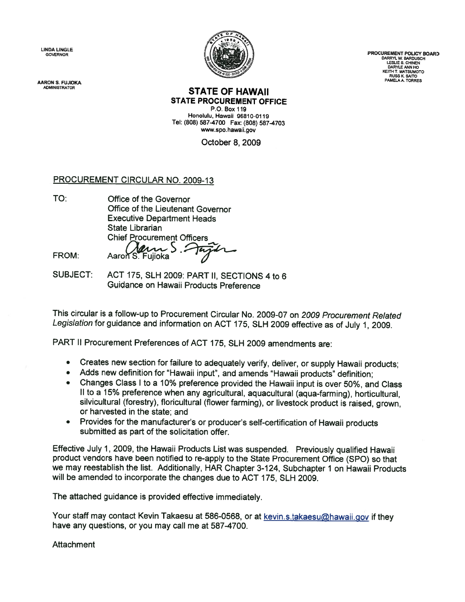LINDA LINGLE

**AARON S. FUJIOKA** 



GOVERNOR PROCUREMENT POLICY BOARD<br>LESLIE S. CHINEN<br>DARRYL W. BARDUSCH<br>DARYLE ANN HO KEITH T. MATSUMOTO RUSS K. SAITO<br>PAMELA A. TORRES

#### **STATE OF HAWAII** STATE PROCUREMENT OFFICE

P.O. Box 119 Honolulu, Hawaii 96810-0119 Tel: (808) 587-4700 Fax: (808) 587-4703 www.spo.hawaii.gov

October 8, 2009

# PROCUREMENT CIRCULAR NO. 2009-13

TO: Office of the Governor Office of the Lieutenant Governor **Executive Department Heads** State Librarian Chief Procurement Officers FROM: Aaron S. Fujioka

SUBJECT: ACT 175, SLH 2009: PART II, SECTIONS 4 to 6 Guidance on Hawaii Products Preference

This circular is <sup>a</sup> follow-up to Procurement Circular No. 2009-07 on 2009 Procurement Related Legislation for guidance and information on ACT 175, SLH <sup>2009</sup> effective as of July 1, 2009.

PART II Procurement Preferences of ACT 175, SLH 2009 amendments are:

- Creates new section for failure to adequately verify, deliver, or supply Hawaii products;
- •Adds new definition for "Hawaii input", and amends "Hawaii products" definition;
- •Changes Class I to a 10% preference provided the Hawaii input is over 50%, and Class II to a 15% preference when any agricultural, aquacultural (aqua-farming), horticultural, silvicultural (forestry), floricultural (flower farming), or livestock product is raised, grown, or harvested in the state; and
- • Provides for the manufacturer's or producer's self-certification of Hawaii products submitted as part of the solicitation offer.

Effective July 1, 2009, the Hawaii Products List was suspended. Previously qualified Hawaii product vendors have been notified to re-apply to the State Procurement Office (SPO) so that we may reestablish the list. Additionally, HAR Chapter 3-124, Subchapter <sup>I</sup> on Hawaii Products will be amended to incorporate the changes due to ACT 175, SLH 2009.

The attached guidance is provided effective immediately.

Your staff may contact Kevin Takaesu at 586-0568, or at kevin.s.takaesu@hawaii.gov if they have any questions, or you may call me at 587-4700.

Attachment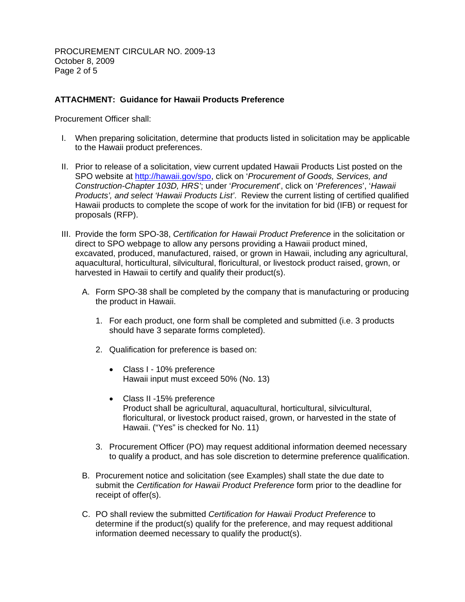PROCUREMENT CIRCULAR NO. 2009-13 October 8, 2009 Page 2 of 5

## **ATTACHMENT: Guidance for Hawaii Products Preference**

Procurement Officer shall:

- I. When preparing solicitation, determine that products listed in solicitation may be applicable to the Hawaii product preferences.
- II. Prior to release of a solicitation, view current updated Hawaii Products List posted on the SPO website at http://hawaii.gov/spo, click on '*Procurement of Goods, Services, and Construction-Chapter 103D, HRS'*; under '*Procurement*', click on '*Preferences*', '*Hawaii Products', and select 'Hawaii Products List'*. Review the current listing of certified qualified Hawaii products to complete the scope of work for the invitation for bid (IFB) or request for proposals (RFP).
- III. Provide the form SPO-38, *Certification for Hawaii Product Preference* in the solicitation or direct to SPO webpage to allow any persons providing a Hawaii product mined, excavated, produced, manufactured, raised, or grown in Hawaii, including any agricultural, aquacultural, horticultural, silvicultural, floricultural, or livestock product raised, grown, or harvested in Hawaii to certify and qualify their product(s).
	- A. Form SPO-38 shall be completed by the company that is manufacturing or producing the product in Hawaii.
		- 1. For each product, one form shall be completed and submitted (i.e. 3 products should have 3 separate forms completed).
		- 2. Qualification for preference is based on:
			- Class I 10% preference Hawaii input must exceed 50% (No. 13)
			- Class II -15% preference Product shall be agricultural, aquacultural, horticultural, silvicultural, floricultural, or livestock product raised, grown, or harvested in the state of Hawaii. ("Yes" is checked for No. 11)
		- 3. Procurement Officer (PO) may request additional information deemed necessary to qualify a product, and has sole discretion to determine preference qualification.
	- B. Procurement notice and solicitation (see Examples) shall state the due date to submit the *Certification for Hawaii Product Preference* form prior to the deadline for receipt of offer(s).
	- C. PO shall review the submitted *Certification for Hawaii Product Preference* to determine if the product(s) qualify for the preference, and may request additional information deemed necessary to qualify the product(s).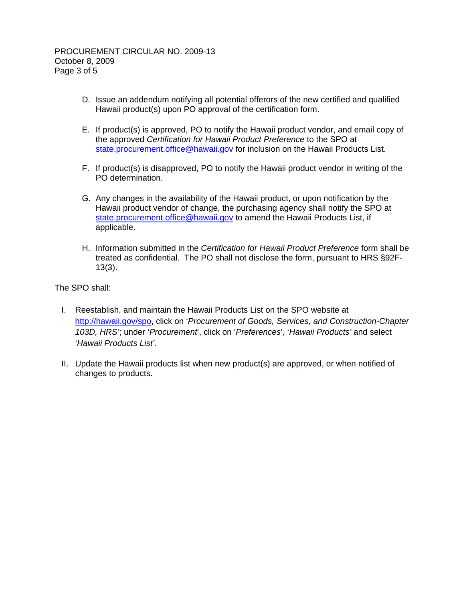- D. Issue an addendum notifying all potential offerors of the new certified and qualified Hawaii product(s) upon PO approval of the certification form.
- E. If product(s) is approved, PO to notify the Hawaii product vendor, and email copy of the approved *Certification for Hawaii Product Preference* to the SPO at state.procurement.office@hawaii.gov for inclusion on the Hawaii Products List.
- F. If product(s) is disapproved, PO to notify the Hawaii product vendor in writing of the PO determination.
- G. Any changes in the availability of the Hawaii product, or upon notification by the Hawaii product vendor of change, the purchasing agency shall notify the SPO at state.procurement.office@hawaii.gov to amend the Hawaii Products List, if applicable.
- H. Information submitted in the *Certification for Hawaii Product Preference* form shall be treated as confidential. The PO shall not disclose the form, pursuant to HRS §92F-13(3).

The SPO shall:

- I. Reestablish, and maintain the Hawaii Products List on the SPO website at http://hawaii.gov/spo, click on '*Procurement of Goods, Services, and Construction-Chapter 103D, HRS'*; under '*Procurement*', click on '*Preferences*', '*Hawaii Products'* and select '*Hawaii Products List'.*
- II. Update the Hawaii products list when new product(s) are approved, or when notified of changes to products.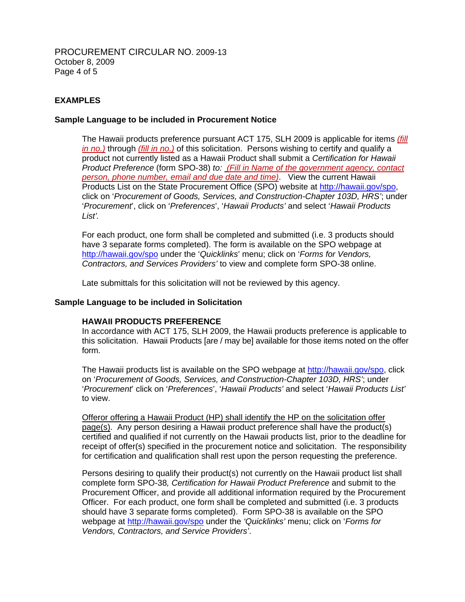PROCUREMENT CIRCULAR NO. 2009-13 October 8, 2009 Page 4 of 5

## **EXAMPLES**

### **Sample Language to be included in Procurement Notice**

The Hawaii products preference pursuant ACT 175, SLH 2009 is applicable for items *(fill in no.)* through *(fill in no.)* of this solicitation. Persons wishing to certify and qualify a product not currently listed as a Hawaii Product shall submit a *Certification for Hawaii Product Preference* (form SPO-38) *to: (Fill in Name of the government agency, contact person, phone number, email and due date and time)*. View the current Hawaii Products List on the State Procurement Office (SPO) website at http://hawaii.gov/spo, click on '*Procurement of Goods, Services, and Construction-Chapter 103D, HRS'*; under '*Procurement*', click on '*Preferences*', '*Hawaii Products'* and select '*Hawaii Products List'.*

For each product, one form shall be completed and submitted (i.e. 3 products should have 3 separate forms completed). The form is available on the SPO webpage at http://hawaii.gov/spo under the '*Quicklinks*' menu; click on '*Forms for Vendors, Contractors, and Services Providers'* to view and complete form SPO-38 online.

Late submittals for this solicitation will not be reviewed by this agency.

#### **Sample Language to be included in Solicitation**

#### **HAWAII PRODUCTS PREFERENCE**

In accordance with ACT 175, SLH 2009, the Hawaii products preference is applicable to this solicitation. Hawaii Products [are / may be] available for those items noted on the offer form.

The Hawaii products list is available on the SPO webpage at http://hawaii.gov/spo, click on '*Procurement of Goods, Services, and Construction-Chapter 103D, HRS'*; under '*Procurement*' click on '*Preferences*', '*Hawaii Products'* and select '*Hawaii Products List'* to view.

Offeror offering a Hawaii Product (HP) shall identify the HP on the solicitation offer page(s). Any person desiring a Hawaii product preference shall have the product(s) certified and qualified if not currently on the Hawaii products list, prior to the deadline for receipt of offer(s) specified in the procurement notice and solicitation. The responsibility for certification and qualification shall rest upon the person requesting the preference.

Persons desiring to qualify their product(s) not currently on the Hawaii product list shall complete form SPO-38*, Certification for Hawaii Product Preference* and submit to the Procurement Officer, and provide all additional information required by the Procurement Officer. For each product, one form shall be completed and submitted (i.e. 3 products should have 3 separate forms completed). Form SPO-38 is available on the SPO webpage at http://hawaii.gov/spo under the *'Quicklinks'* menu; click on '*Forms for Vendors, Contractors, and Service Providers'*.